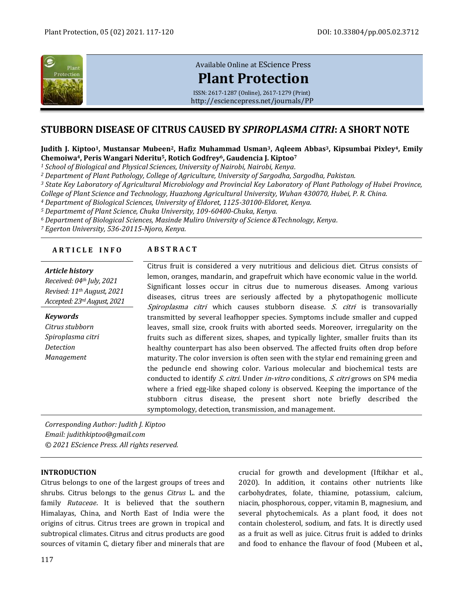

# [Available Online at](http://esciencepress.net/journals/PP) EScience Press

# **[Plant Protection](http://esciencepress.net/journals/PP)**

ISSN: 2617-1287 (Online), 2617-1279 (Print) <http://esciencepress.net/journals/PP>

# **STUBBORN DISEASE OF CITRUS CAUSED BY** *SPIROPLASMA CITRI***: A SHORT NOTE**

#### **Judith J. Kiptoo1, Mustansar Mubeen2, Hafiz Muhammad Usman3, Aqleem Abbas3, Kipsumbai Pixley4, Emily Chemoiwa4, Peris Wangari Nderitu5, Rotich Godfrey6, Gaudencia J. Kiptoo<sup>7</sup>**

*<sup>1</sup> School of Biological and Physical Sciences, University of Nairobi, Nairobi, Kenya.*

*<sup>2</sup> Department of Plant Pathology, College of Agriculture, University of Sargodha, Sargodha, Pakistan.*

*<sup>3</sup> State Key Laboratory of Agricultural Microbiology and Provincial Key Laboratory of Plant Pathology of Hubei Province,* 

*College of Plant Science and Technology, Huazhong Agricultural University, Wuhan 430070, Hubei, P. R. China.*

*<sup>4</sup> Department of Biological Sciences, University of Eldoret, 1125-30100-Eldoret, Kenya.*

*<sup>5</sup> Departmemt of Plant Science, Chuka University, 109-60400-Chuka, Kenya.*

*<sup>6</sup> Department of Biological Sciences, Masinde Muliro University of Science &Technology, Kenya.*

*<sup>7</sup> Egerton University, 536-20115-Njoro, Kenya.*

# **A R T I C L E I N F O A B S T R A C T**

# *Article history Received: 04th July, 2021 Revised: 11th August, 2021 Accepted: 23rdAugust, 2021 Keywords*

*Citrus stubborn Spiroplasma citri Detection Management*

Citrus fruit is considered a very nutritious and delicious diet. Citrus consists of lemon, oranges, mandarin, and grapefruit which have economic value in the world. Significant losses occur in citrus due to numerous diseases. Among various diseases, citrus trees are seriously affected by a phytopathogenic mollicute Spiroplasma citri which causes stubborn disease.  $S$ . citri is transovarially transmitted by several leafhopper species. Symptoms include smaller and cupped leaves, small size, crook fruits with aborted seeds. Moreover, irregularity on the fruits such as different sizes, shapes, and typically lighter, smaller fruits than its healthy counterpart has also been observed. The affected fruits often drop before maturity. The color inversion is often seen with the stylar end remaining green and the peduncle end showing color. Various molecular and biochemical tests are conducted to identify S. citri. Under in-vitro conditions, S. citri grows on SP4 media where a fried egg-like shaped colony is observed. Keeping the importance of the stubborn citrus disease, the present short note briefly described the symptomology, detection, transmission, and management.

*Corresponding Author: Judith J. Kiptoo Email: judithkiptoo@gmail.com © 2021 EScience Press. All rights reserved.*

#### **INTRODUCTION**

Citrus belongs to one of the largest groups of trees and shrubs. Citrus belongs to the genus *Citrus* L. and the family *Rutaceae*. It is believed that the southern Himalayas, China, and North East of India were the origins of citrus. Citrus trees are grown in tropical and subtropical climates. Citrus and citrus products are good sources of vitamin C, dietary fiber and minerals that are

crucial for growth and development (Iftikhar et al., 2020). In addition, it contains other nutrients like carbohydrates, folate, thiamine, potassium, calcium, niacin, phosphorous, copper, vitamin B, magnesium, and several phytochemicals. As a plant food, it does not contain cholesterol, sodium, and fats. It is directly used as a fruit as well as juice. Citrus fruit is added to drinks and food to enhance the flavour of food (Mubeen et al.,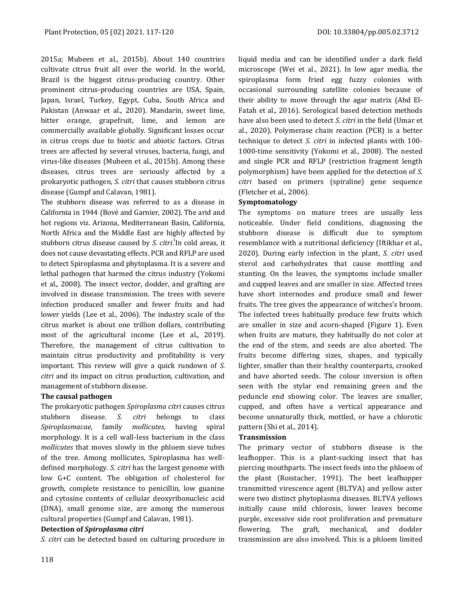2015a; Mubeen et al., 2015b). About 140 countries cultivate citrus fruit all over the world. In the world, Brazil is the biggest citrus-producing country. Other prominent citrus-producing countries are USA, Spain, Japan, Israel, Turkey, Egypt, Cuba, South Africa and Pakistan (Anwaar et al., 2020). Mandarin, sweet lime, bitter orange, grapefruit, lime, and lemon are commercially available globally. Significant losses occur in citrus crops due to biotic and abiotic factors. Citrus trees are affected by several viruses, bacteria, fungi, and virus-like diseases (Mubeen et al., 2015b). Among these diseases, citrus trees are seriously affected by a prokaryotic pathogen, *S. citri* that causes stubborn citrus disease (Gumpf and Calavan, 1981).

The stubborn disease was referred to as a disease in California in 1944 (Bové and Garnier, 2002). The arid and hot regions viz. Arizona, Mediterranean Basin, California, North Africa and the Middle East are highly affected by stubborn citrus disease caused by *S. citri.*'In cold areas, it does not cause devastating effects. PCR and RFLP are used to detect Spiroplasma and phytoplasma. It is a severe and lethal pathogen that harmed the citrus industry (Yokomi et al., 2008). The insect vector, dodder, and grafting are involved in disease transmission. The trees with severe infection produced smaller and fewer fruits and had lower yields (Lee et al., 2006). The industry scale of the citrus market is about one trillion dollars, contributing most of the agricultural income (Lee et al., 2019). Therefore, the management of citrus cultivation to maintain citrus productivity and profitability is very important. This review will give a quick rundown of *S. citri* and its impact on citrus production, cultivation, and management of stubborn disease.

# **The causal pathogen**

The prokaryotic pathogen *Spiroplasma citri* causes citrus stubborn disease. *S. citri* belongs to class *Spiroplasmacae*, family *mollicutes*, having spiral morphology. It is a cell wall-less bacterium in the class *mollicutes* that moves slowly in the phloem sieve tubes of the tree. Among mollicutes, Spiroplasma has welldefined morphology. *S. citri* has the largest genome with low G+C content. The obligation of cholesterol for growth, complete resistance to penicillin, low guanine and cytosine contents of cellular deoxyribonucleic acid (DNA), small genome size, are among the numerous cultural properties (Gumpf and Calavan, 1981).

# **Detection of** *Spiroplasma citri*

*S. citri* can be detected based on culturing procedure in

liquid media and can be identified under a dark field microscope (Wei et al., 2021). In low agar media, the spiroplasma form fried egg fuzzy colonies with occasional surrounding satellite colonies because of their ability to move through the agar matrix (Abd El-Fatah et al., 2016). Serological based detection methods have also been used to detect *S. citri* in the field (Umar et al., 2020). Polymerase chain reaction (PCR) is a better technique to detect *S. citri* in infected plants with 100- 1000-time sensitivity (Yokomi et al., 2008). The nested and single PCR and RFLP (restriction fragment length polymorphism) have been applied for the detection of *S. citri* based on primers (spiraline) gene sequence (Fletcher et al., 2006).

# **Symptomatology**

The symptoms on mature trees are usually less noticeable. Under field conditions, diagnosing the stubborn disease is difficult due to symptom resemblance with a nutritional deficiency (Iftikhar et al., 2020). During early infection in the plant, *S. citri* used sterol and carbohydrates that cause mottling and stunting. On the leaves, the symptoms include smaller and cupped leaves and are smaller in size. Affected trees have short internodes and produce small and fewer fruits. The tree gives the appearance of witches's broom. The infected trees habitually produce few fruits which are smaller in size and acorn-shaped (Figure 1). Even when fruits are mature, they habitually do not color at the end of the stem, and seeds are also aborted. The fruits become differing sizes, shapes, and typically lighter, smaller than their healthy counterparts, crooked and have aborted seeds. The colour inversion is often seen with the stylar end remaining green and the peduncle end showing color. The leaves are smaller, cupped, and often have a vertical appearance and become unnaturally thick, mottled, or have a chlorotic pattern (Shi et al., 2014).

# **Transmission**

The primary vector of stubborn disease is the leafhopper. This is a plant-sucking insect that has piercing mouthparts. The insect feeds into the phloem of the plant (Roistacher, 1991). The beet leafhopper transmitted virescence agent (BLTVA) and yellow aster were two distinct phytoplasma diseases. BLTVA yellows initially cause mild chlorosis, lower leaves become purple, excessive side root proliferation and premature flowering. The graft, mechanical, and dodder transmission are also involved. This is a phloem limited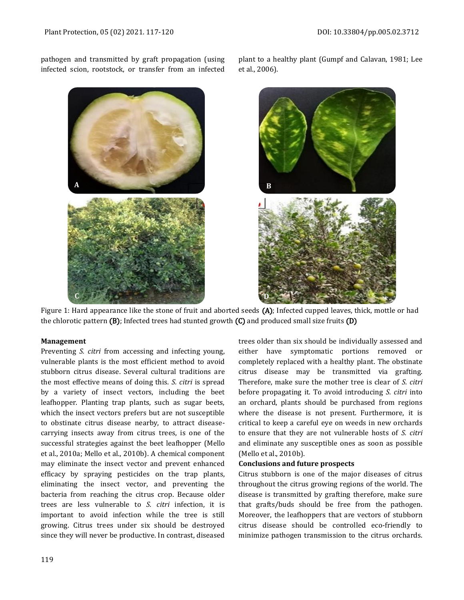pathogen and transmitted by graft propagation (using infected scion, rootstock, or transfer from an infected

> **A B C D**

plant to a healthy plant (Gumpf and Calavan, 1981; Lee et al., 2006).



Figure 1: Hard appearance like the stone of fruit and aborted seeds (A); Infected cupped leaves, thick, mottle or had the chlorotic pattern (B); Infected trees had stunted growth (C) and produced small size fruits (D)

#### **Management**

Preventing *S. citri* from accessing and infecting young, vulnerable plants is the most efficient method to avoid stubborn citrus disease. Several cultural traditions are the most effective means of doing this. *S. citri* is spread by a variety of insect vectors, including the beet leafhopper. Planting trap plants, such as sugar beets, which the insect vectors prefers but are not susceptible to obstinate citrus disease nearby, to attract diseasecarrying insects away from citrus trees, is one of the successful strategies against the beet leafhopper (Mello et al., 2010a; Mello et al., 2010b). A chemical component may eliminate the insect vector and prevent enhanced efficacy by spraying pesticides on the trap plants, eliminating the insect vector, and preventing the bacteria from reaching the citrus crop. Because older trees are less vulnerable to *S. citri* infection, it is important to avoid infection while the tree is still growing. Citrus trees under six should be destroyed since they will never be productive. In contrast, diseased

trees older than six should be individually assessed and either have symptomatic portions removed or completely replaced with a healthy plant. The obstinate citrus disease may be transmitted via grafting. Therefore, make sure the mother tree is clear of *S. citri* before propagating it. To avoid introducing *S. citri* into an orchard, plants should be purchased from regions where the disease is not present. Furthermore, it is critical to keep a careful eye on weeds in new orchards to ensure that they are not vulnerable hosts of *S. citri* and eliminate any susceptible ones as soon as possible (Mello et al., 2010b).

#### **Conclusions and future prospects**

Citrus stubborn is one of the major diseases of citrus throughout the citrus growing regions of the world. The disease is transmitted by grafting therefore, make sure that grafts/buds should be free from the pathogen. Moreover, the leafhoppers that are vectors of stubborn citrus disease should be controlled eco-friendly to minimize pathogen transmission to the citrus orchards.